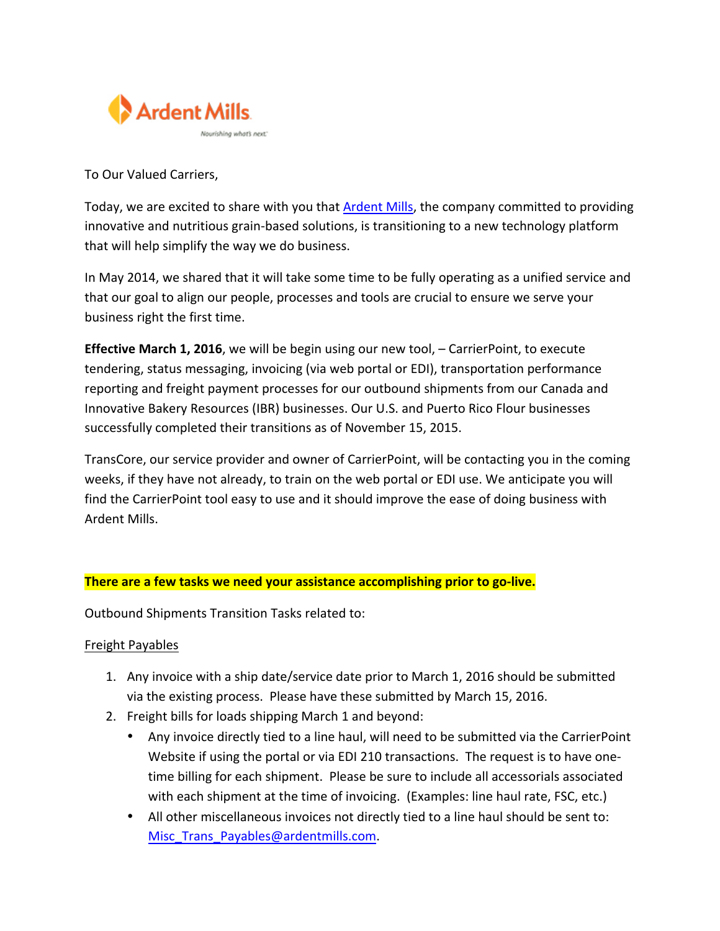

To Our Valued Carriers,

Today, we are excited to share with you that Ardent Mills, the company committed to providing innovative and nutritious grain-based solutions, is transitioning to a new technology platform that will help simplify the way we do business.

In May 2014, we shared that it will take some time to be fully operating as a unified service and that our goal to align our people, processes and tools are crucial to ensure we serve your business right the first time.

**Effective March 1, 2016**, we will be begin using our new tool, – CarrierPoint, to execute tendering, status messaging, invoicing (via web portal or EDI), transportation performance reporting and freight payment processes for our outbound shipments from our Canada and Innovative Bakery Resources (IBR) businesses. Our U.S. and Puerto Rico Flour businesses successfully completed their transitions as of November 15, 2015.

TransCore, our service provider and owner of CarrierPoint, will be contacting you in the coming weeks, if they have not already, to train on the web portal or EDI use. We anticipate you will find the CarrierPoint tool easy to use and it should improve the ease of doing business with Ardent Mills.

## **There are a few tasks we need your assistance accomplishing prior to go-live.**

Outbound Shipments Transition Tasks related to:

#### Freight Payables

- 1. Any invoice with a ship date/service date prior to March 1, 2016 should be submitted via the existing process. Please have these submitted by March 15, 2016.
- 2. Freight bills for loads shipping March 1 and beyond:
	- Any invoice directly tied to a line haul, will need to be submitted via the CarrierPoint Website if using the portal or via EDI 210 transactions. The request is to have onetime billing for each shipment. Please be sure to include all accessorials associated with each shipment at the time of invoicing. (Examples: line haul rate, FSC, etc.)
	- All other miscellaneous invoices not directly tied to a line haul should be sent to: Misc Trans Payables@ardentmills.com.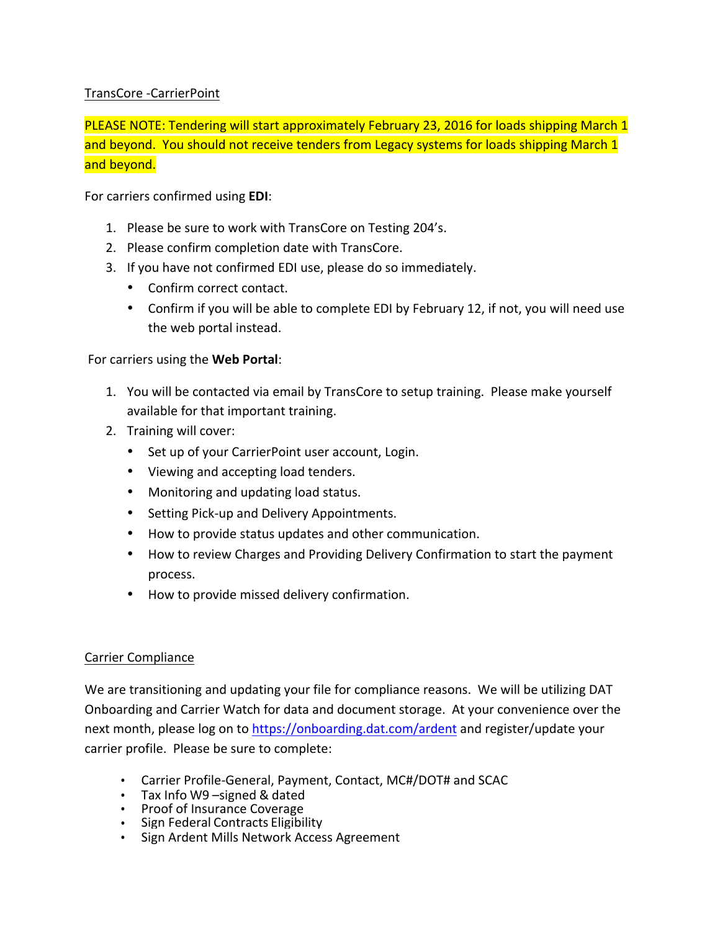# TransCore -CarrierPoint

PLEASE NOTE: Tendering will start approximately February 23, 2016 for loads shipping March 1 and beyond. You should not receive tenders from Legacy systems for loads shipping March 1 and beyond.

For carriers confirmed using **EDI:** 

- 1. Please be sure to work with TransCore on Testing 204's.
- 2. Please confirm completion date with TransCore.
- 3. If you have not confirmed EDI use, please do so immediately.
	- Confirm correct contact.
	- Confirm if you will be able to complete EDI by February 12, if not, you will need use the web portal instead.

## For carriers using the **Web Portal:**

- 1. You will be contacted via email by TransCore to setup training. Please make yourself available for that important training.
- 2. Training will cover:
	- Set up of your CarrierPoint user account, Login.
	- Viewing and accepting load tenders.
	- Monitoring and updating load status.
	- Setting Pick-up and Delivery Appointments.
	- How to provide status updates and other communication.
	- How to review Charges and Providing Delivery Confirmation to start the payment process.
	- How to provide missed delivery confirmation.

### Carrier Compliance

We are transitioning and updating your file for compliance reasons. We will be utilizing DAT Onboarding and Carrier Watch for data and document storage. At your convenience over the next month, please log on to https://onboarding.dat.com/ardent and register/update your carrier profile. Please be sure to complete:

- Carrier Profile-General, Payment, Contact, MC#/DOT# and SCAC
- Tax Info W9 -signed & dated
- Proof of Insurance Coverage
- Sign Federal Contracts Eligibility<br>• Sign Ardent Mills Network Acces
- Sign Ardent Mills Network Access Agreement